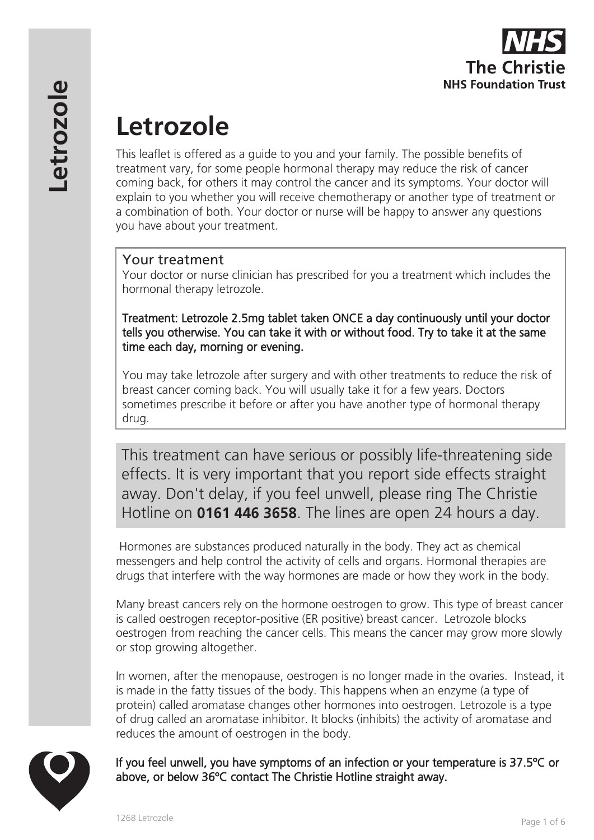

# **Letrozole**

This leaflet is offered as a guide to you and your family. The possible benefits of treatment vary, for some people hormonal therapy may reduce the risk of cancer coming back, for others it may control the cancer and its symptoms. Your doctor will explain to you whether you will receive chemotherapy or another type of treatment or a combination of both. Your doctor or nurse will be happy to answer any questions you have about your treatment.

# Your treatment

Your doctor or nurse clinician has prescribed for you a treatment which includes the hormonal therapy letrozole.

Treatment: Letrozole 2.5mg tablet taken ONCE a day continuously until your doctor tells you otherwise. You can take it with or without food. Try to take it at the same time each day, morning or evening.

You may take letrozole after surgery and with other treatments to reduce the risk of breast cancer coming back. You will usually take it for a few years. Doctors sometimes prescribe it before or after you have another type of hormonal therapy drug.

This treatment can have serious or possibly life-threatening side effects. It is very important that you report side effects straight away. Don't delay, if you feel unwell, please ring The Christie Hotline on **0161 446 3658**. The lines are open 24 hours a day.

 Hormones are substances produced naturally in the body. They act as chemical messengers and help control the activity of cells and organs. Hormonal therapies are drugs that interfere with the way hormones are made or how they work in the body.

Many breast cancers rely on the hormone oestrogen to grow. This type of breast cancer is called oestrogen receptor-positive (ER positive) breast cancer. Letrozole blocks oestrogen from reaching the cancer cells. This means the cancer may grow more slowly or stop growing altogether.

In women, after the menopause, oestrogen is no longer made in the ovaries. Instead, it is made in the fatty tissues of the body. This happens when an enzyme (a type of protein) called aromatase changes other hormones into oestrogen. Letrozole is a type of drug called an aromatase inhibitor. It blocks (inhibits) the activity of aromatase and reduces the amount of oestrogen in the body.



If you feel unwell, you have symptoms of an infection or your temperature is 37.5ºC or above, or below 36ºC contact The Christie Hotline straight away.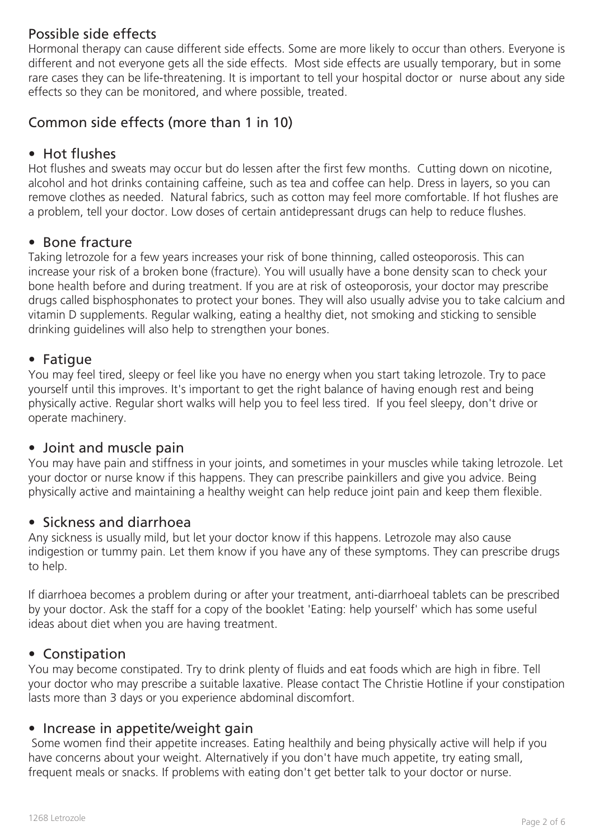# Possible side effects

Hormonal therapy can cause different side effects. Some are more likely to occur than others. Everyone is different and not everyone gets all the side effects. Most side effects are usually temporary, but in some rare cases they can be life-threatening. It is important to tell your hospital doctor or nurse about any side effects so they can be monitored, and where possible, treated.

# Common side effects (more than 1 in 10)

## • Hot flushes

Hot flushes and sweats may occur but do lessen after the first few months. Cutting down on nicotine, alcohol and hot drinks containing caffeine, such as tea and coffee can help. Dress in layers, so you can remove clothes as needed. Natural fabrics, such as cotton may feel more comfortable. If hot flushes are a problem, tell your doctor. Low doses of certain antidepressant drugs can help to reduce flushes.

## • Bone fracture

Taking letrozole for a few years increases your risk of bone thinning, called osteoporosis. This can increase your risk of a broken bone (fracture). You will usually have a bone density scan to check your bone health before and during treatment. If you are at risk of osteoporosis, your doctor may prescribe drugs called bisphosphonates to protect your bones. They will also usually advise you to take calcium and vitamin D supplements. Regular walking, eating a healthy diet, not smoking and sticking to sensible drinking guidelines will also help to strengthen your bones.

## • Fatigue

You may feel tired, sleepy or feel like you have no energy when you start taking letrozole. Try to pace yourself until this improves. It's important to get the right balance of having enough rest and being physically active. Regular short walks will help you to feel less tired. If you feel sleepy, don't drive or operate machinery.

## • Joint and muscle pain

You may have pain and stiffness in your joints, and sometimes in your muscles while taking letrozole. Let your doctor or nurse know if this happens. They can prescribe painkillers and give you advice. Being physically active and maintaining a healthy weight can help reduce joint pain and keep them flexible.

## • Sickness and diarrhoea

Any sickness is usually mild, but let your doctor know if this happens. Letrozole may also cause indigestion or tummy pain. Let them know if you have any of these symptoms. They can prescribe drugs to help.

If diarrhoea becomes a problem during or after your treatment, anti-diarrhoeal tablets can be prescribed by your doctor. Ask the staff for a copy of the booklet 'Eating: help yourself' which has some useful ideas about diet when you are having treatment.

## • Constipation

You may become constipated. Try to drink plenty of fluids and eat foods which are high in fibre. Tell your doctor who may prescribe a suitable laxative. Please contact The Christie Hotline if your constipation lasts more than 3 days or you experience abdominal discomfort.

#### • Increase in appetite/weight gain

 Some women find their appetite increases. Eating healthily and being physically active will help if you have concerns about your weight. Alternatively if you don't have much appetite, try eating small, frequent meals or snacks. If problems with eating don't get better talk to your doctor or nurse.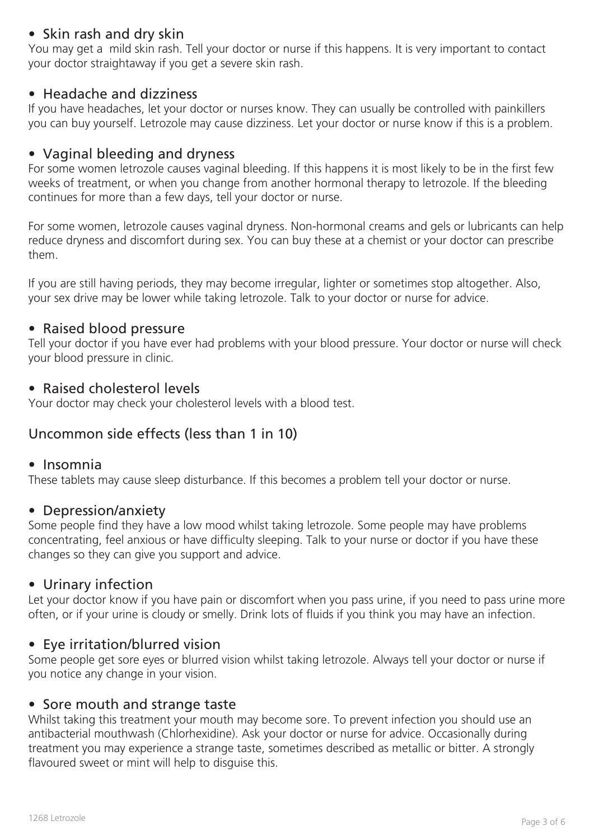# • Skin rash and dry skin

You may get a mild skin rash. Tell your doctor or nurse if this happens. It is very important to contact your doctor straightaway if you get a severe skin rash.

#### • Headache and dizziness

If you have headaches, let your doctor or nurses know. They can usually be controlled with painkillers you can buy yourself. Letrozole may cause dizziness. Let your doctor or nurse know if this is a problem.

## • Vaginal bleeding and dryness

For some women letrozole causes vaginal bleeding. If this happens it is most likely to be in the first few weeks of treatment, or when you change from another hormonal therapy to letrozole. If the bleeding continues for more than a few days, tell your doctor or nurse.

For some women, letrozole causes vaginal dryness. Non-hormonal creams and gels or lubricants can help reduce dryness and discomfort during sex. You can buy these at a chemist or your doctor can prescribe them.

If you are still having periods, they may become irregular, lighter or sometimes stop altogether. Also, your sex drive may be lower while taking letrozole. Talk to your doctor or nurse for advice.

## • Raised blood pressure

Tell your doctor if you have ever had problems with your blood pressure. Your doctor or nurse will check your blood pressure in clinic.

#### • Raised cholesterol levels

Your doctor may check your cholesterol levels with a blood test.

# Uncommon side effects (less than 1 in 10)

#### • Insomnia

These tablets may cause sleep disturbance. If this becomes a problem tell your doctor or nurse.

#### • Depression/anxiety

Some people find they have a low mood whilst taking letrozole. Some people may have problems concentrating, feel anxious or have difficulty sleeping. Talk to your nurse or doctor if you have these changes so they can give you support and advice.

#### • Urinary infection

Let your doctor know if you have pain or discomfort when you pass urine, if you need to pass urine more often, or if your urine is cloudy or smelly. Drink lots of fluids if you think you may have an infection.

#### • Eye irritation/blurred vision

Some people get sore eyes or blurred vision whilst taking letrozole. Always tell your doctor or nurse if you notice any change in your vision.

#### • Sore mouth and strange taste

Whilst taking this treatment your mouth may become sore. To prevent infection you should use an antibacterial mouthwash (Chlorhexidine). Ask your doctor or nurse for advice. Occasionally during treatment you may experience a strange taste, sometimes described as metallic or bitter. A strongly flavoured sweet or mint will help to disguise this.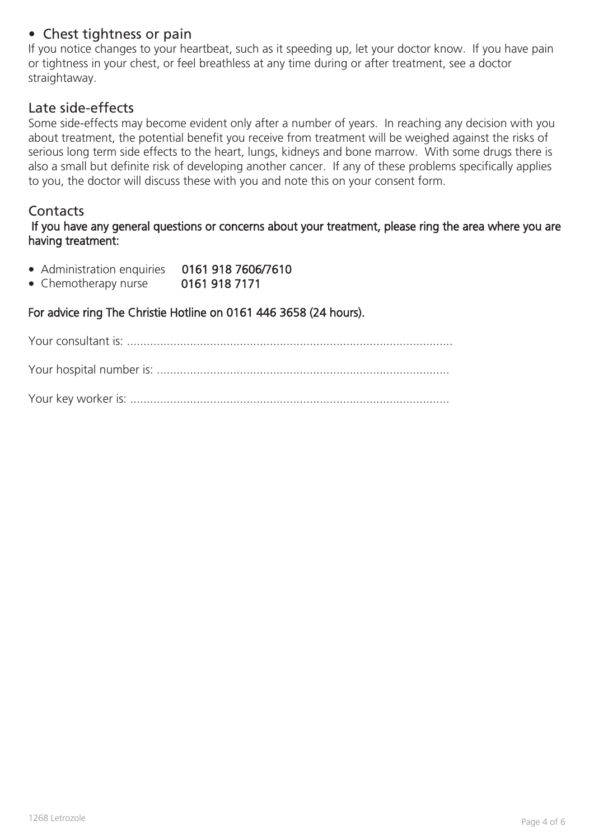# • Chest tightness or pain

If you notice changes to your heartbeat, such as it speeding up, let your doctor know. If you have pain or tightness in your chest, or feel breathless at any time during or after treatment, see a doctor straightaway.

#### Late side-effects

Some side-effects may become evident only after a number of years. In reaching any decision with you about treatment, the potential benefit you receive from treatment will be weighed against the risks of serious long term side effects to the heart, lungs, kidneys and bone marrow. With some drugs there is also a small but definite risk of developing another cancer. If any of these problems specifically applies to you, the doctor will discuss these with you and note this on your consent form.

#### **Contacts**

 If you have any general questions or concerns about your treatment, please ring the area where you are having treatment:

- Administration enquiries 0161 918 7606/7610
- Chemotherapy nurse 0161 918 7171

For advice ring The Christie Hotline on 0161 446 3658 (24 hours).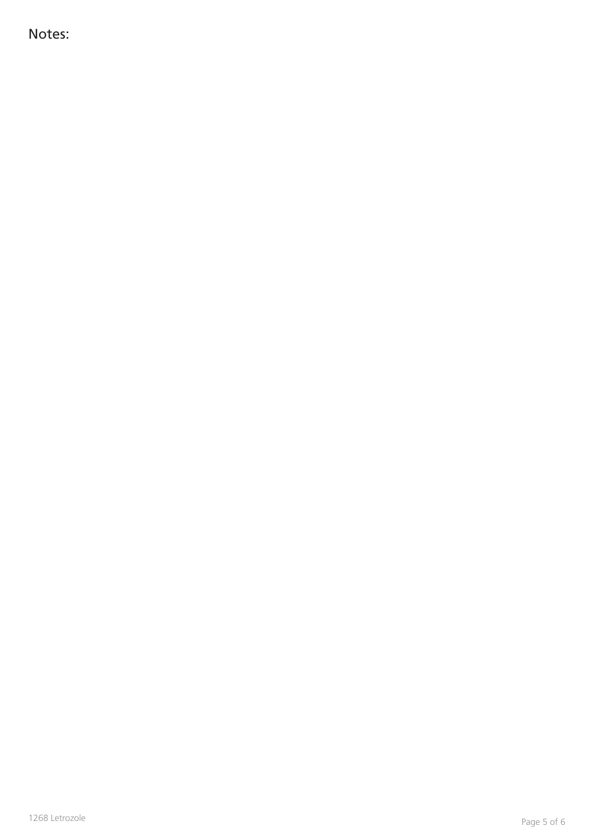Notes: